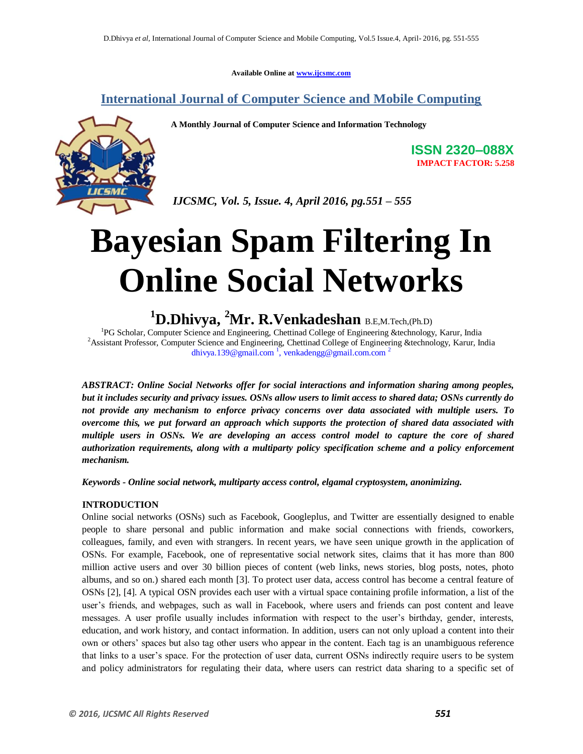**Available Online at www.ijcsmc.com**

### **International Journal of Computer Science and Mobile Computing**

 **A Monthly Journal of Computer Science and Information Technology**



**ISSN 2320–088X IMPACT FACTOR: 5.258**

 *IJCSMC, Vol. 5, Issue. 4, April 2016, pg.551 – 555*

# **Bayesian Spam Filtering In Online Social Networks**

## **<sup>1</sup>D.Dhivya, <sup>2</sup>Mr. R.Venkadeshan** B.E,M.Tech,(Ph.D)

<sup>1</sup>PG Scholar, Computer Science and Engineering, Chettinad College of Engineering &technology, Karur, India <sup>2</sup>Assistant Professor, Computer Science and Engineering, Chettinad College of Engineering &technology, Karur, India dhivya.139@gmail.com  $\frac{1}{2}$ , venkadengg@gmail.com.com <sup>2</sup>

*ABSTRACT: Online Social Networks offer for social interactions and information sharing among peoples, but it includes security and privacy issues. OSNs allow users to limit access to shared data; OSNs currently do not provide any mechanism to enforce privacy concerns over data associated with multiple users. To overcome this, we put forward an approach which supports the protection of shared data associated with multiple users in OSNs. We are developing an access control model to capture the core of shared authorization requirements, along with a multiparty policy specification scheme and a policy enforcement mechanism.*

*Keywords - Online social network, multiparty access control, elgamal cryptosystem, anonimizing.*

#### **INTRODUCTION**

Online social networks (OSNs) such as Facebook, Googleplus, and Twitter are essentially designed to enable people to share personal and public information and make social connections with friends, coworkers, colleagues, family, and even with strangers. In recent years, we have seen unique growth in the application of OSNs. For example, Facebook, one of representative social network sites, claims that it has more than 800 million active users and over 30 billion pieces of content (web links, news stories, blog posts, notes, photo albums, and so on.) shared each month [3]. To protect user data, access control has become a central feature of OSNs [2], [4]. A typical OSN provides each user with a virtual space containing profile information, a list of the user's friends, and webpages, such as wall in Facebook, where users and friends can post content and leave messages. A user profile usually includes information with respect to the user's birthday, gender, interests, education, and work history, and contact information. In addition, users can not only upload a content into their own or others' spaces but also tag other users who appear in the content. Each tag is an unambiguous reference that links to a user's space. For the protection of user data, current OSNs indirectly require users to be system and policy administrators for regulating their data, where users can restrict data sharing to a specific set of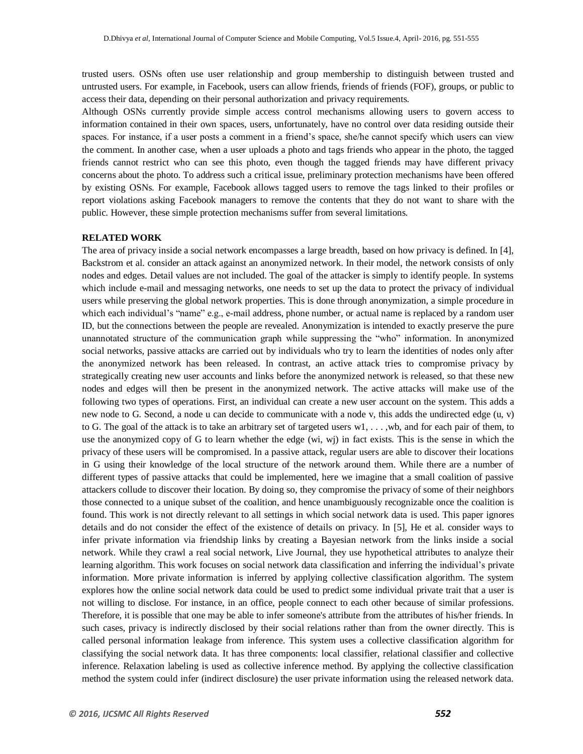trusted users. OSNs often use user relationship and group membership to distinguish between trusted and untrusted users. For example, in Facebook, users can allow friends, friends of friends (FOF), groups, or public to access their data, depending on their personal authorization and privacy requirements.

Although OSNs currently provide simple access control mechanisms allowing users to govern access to information contained in their own spaces, users, unfortunately, have no control over data residing outside their spaces. For instance, if a user posts a comment in a friend's space, she/he cannot specify which users can view the comment. In another case, when a user uploads a photo and tags friends who appear in the photo, the tagged friends cannot restrict who can see this photo, even though the tagged friends may have different privacy concerns about the photo. To address such a critical issue, preliminary protection mechanisms have been offered by existing OSNs. For example, Facebook allows tagged users to remove the tags linked to their profiles or report violations asking Facebook managers to remove the contents that they do not want to share with the public. However, these simple protection mechanisms suffer from several limitations.

#### **RELATED WORK**

The area of privacy inside a social network encompasses a large breadth, based on how privacy is defined. In [4], Backstrom et al. consider an attack against an anonymized network. In their model, the network consists of only nodes and edges. Detail values are not included. The goal of the attacker is simply to identify people. In systems which include e-mail and messaging networks, one needs to set up the data to protect the privacy of individual users while preserving the global network properties. This is done through anonymization, a simple procedure in which each individual's "name" e.g., e-mail address, phone number, or actual name is replaced by a random user ID, but the connections between the people are revealed. Anonymization is intended to exactly preserve the pure unannotated structure of the communication graph while suppressing the "who" information. In anonymized social networks, passive attacks are carried out by individuals who try to learn the identities of nodes only after the anonymized network has been released. In contrast, an active attack tries to compromise privacy by strategically creating new user accounts and links before the anonymized network is released, so that these new nodes and edges will then be present in the anonymized network. The active attacks will make use of the following two types of operations. First, an individual can create a new user account on the system. This adds a new node to G. Second, a node u can decide to communicate with a node v, this adds the undirected edge (u, v) to G. The goal of the attack is to take an arbitrary set of targeted users  $w1, \ldots, wb$ , and for each pair of them, to use the anonymized copy of G to learn whether the edge (wi, wj) in fact exists. This is the sense in which the privacy of these users will be compromised. In a passive attack, regular users are able to discover their locations in G using their knowledge of the local structure of the network around them. While there are a number of different types of passive attacks that could be implemented, here we imagine that a small coalition of passive attackers collude to discover their location. By doing so, they compromise the privacy of some of their neighbors those connected to a unique subset of the coalition, and hence unambiguously recognizable once the coalition is found. This work is not directly relevant to all settings in which social network data is used. This paper ignores details and do not consider the effect of the existence of details on privacy. In [5], He et al. consider ways to infer private information via friendship links by creating a Bayesian network from the links inside a social network. While they crawl a real social network, Live Journal, they use hypothetical attributes to analyze their learning algorithm. This work focuses on social network data classification and inferring the individual's private information. More private information is inferred by applying collective classification algorithm. The system explores how the online social network data could be used to predict some individual private trait that a user is not willing to disclose. For instance, in an office, people connect to each other because of similar professions. Therefore, it is possible that one may be able to infer someone's attribute from the attributes of his/her friends. In such cases, privacy is indirectly disclosed by their social relations rather than from the owner directly. This is called personal information leakage from inference. This system uses a collective classification algorithm for classifying the social network data. It has three components: local classifier, relational classifier and collective inference. Relaxation labeling is used as collective inference method. By applying the collective classification method the system could infer (indirect disclosure) the user private information using the released network data.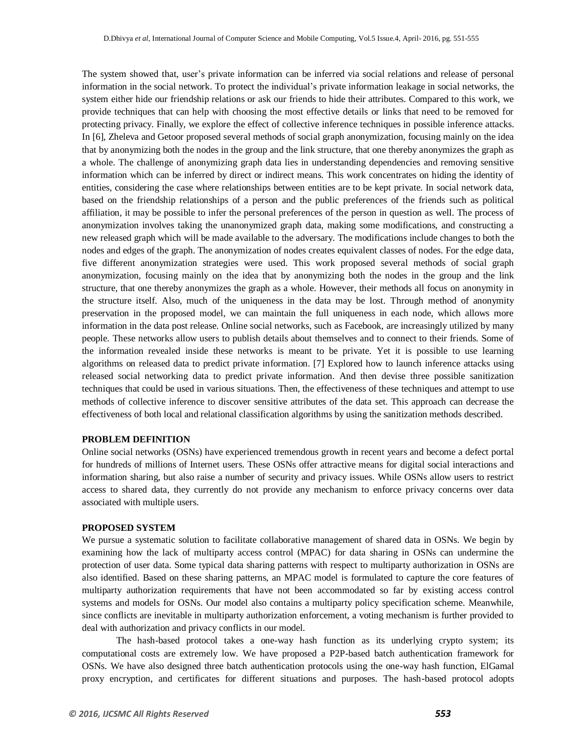The system showed that, user's private information can be inferred via social relations and release of personal information in the social network. To protect the individual's private information leakage in social networks, the system either hide our friendship relations or ask our friends to hide their attributes. Compared to this work, we provide techniques that can help with choosing the most effective details or links that need to be removed for protecting privacy. Finally, we explore the effect of collective inference techniques in possible inference attacks. In [6], Zheleva and Getoor proposed several methods of social graph anonymization, focusing mainly on the idea that by anonymizing both the nodes in the group and the link structure, that one thereby anonymizes the graph as a whole. The challenge of anonymizing graph data lies in understanding dependencies and removing sensitive information which can be inferred by direct or indirect means. This work concentrates on hiding the identity of entities, considering the case where relationships between entities are to be kept private. In social network data, based on the friendship relationships of a person and the public preferences of the friends such as political affiliation, it may be possible to infer the personal preferences of the person in question as well. The process of anonymization involves taking the unanonymized graph data, making some modifications, and constructing a new released graph which will be made available to the adversary. The modifications include changes to both the nodes and edges of the graph. The anonymization of nodes creates equivalent classes of nodes. For the edge data, five different anonymization strategies were used. This work proposed several methods of social graph anonymization, focusing mainly on the idea that by anonymizing both the nodes in the group and the link structure, that one thereby anonymizes the graph as a whole. However, their methods all focus on anonymity in the structure itself. Also, much of the uniqueness in the data may be lost. Through method of anonymity preservation in the proposed model, we can maintain the full uniqueness in each node, which allows more information in the data post release. Online social networks, such as Facebook, are increasingly utilized by many people. These networks allow users to publish details about themselves and to connect to their friends. Some of the information revealed inside these networks is meant to be private. Yet it is possible to use learning algorithms on released data to predict private information. [7] Explored how to launch inference attacks using released social networking data to predict private information. And then devise three possible sanitization techniques that could be used in various situations. Then, the effectiveness of these techniques and attempt to use methods of collective inference to discover sensitive attributes of the data set. This approach can decrease the effectiveness of both local and relational classification algorithms by using the sanitization methods described.

#### **PROBLEM DEFINITION**

Online social networks (OSNs) have experienced tremendous growth in recent years and become a defect portal for hundreds of millions of Internet users. These OSNs offer attractive means for digital social interactions and information sharing, but also raise a number of security and privacy issues. While OSNs allow users to restrict access to shared data, they currently do not provide any mechanism to enforce privacy concerns over data associated with multiple users.

#### **PROPOSED SYSTEM**

We pursue a systematic solution to facilitate collaborative management of shared data in OSNs. We begin by examining how the lack of multiparty access control (MPAC) for data sharing in OSNs can undermine the protection of user data. Some typical data sharing patterns with respect to multiparty authorization in OSNs are also identified. Based on these sharing patterns, an MPAC model is formulated to capture the core features of multiparty authorization requirements that have not been accommodated so far by existing access control systems and models for OSNs. Our model also contains a multiparty policy specification scheme. Meanwhile, since conflicts are inevitable in multiparty authorization enforcement, a voting mechanism is further provided to deal with authorization and privacy conflicts in our model.

The hash-based protocol takes a one-way hash function as its underlying crypto system; its computational costs are extremely low. We have proposed a P2P-based batch authentication framework for OSNs. We have also designed three batch authentication protocols using the one-way hash function, ElGamal proxy encryption, and certificates for different situations and purposes. The hash-based protocol adopts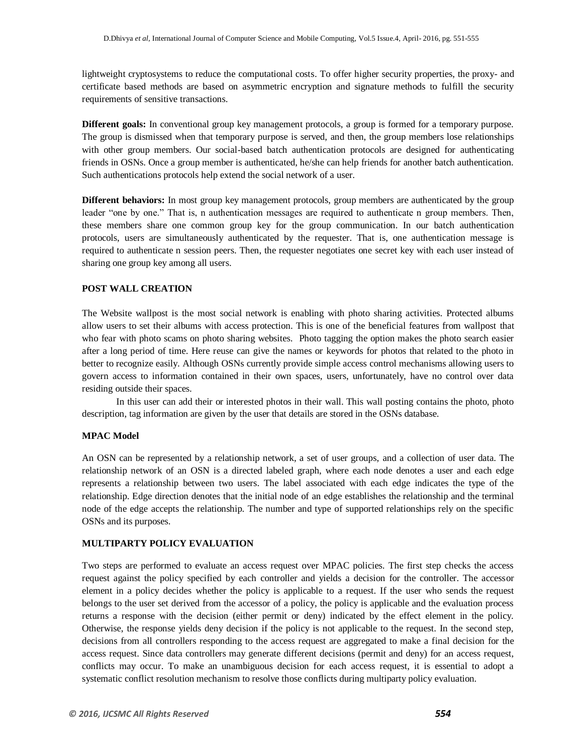lightweight cryptosystems to reduce the computational costs. To offer higher security properties, the proxy- and certificate based methods are based on asymmetric encryption and signature methods to fulfill the security requirements of sensitive transactions.

**Different goals:** In conventional group key management protocols, a group is formed for a temporary purpose. The group is dismissed when that temporary purpose is served, and then, the group members lose relationships with other group members. Our social-based batch authentication protocols are designed for authenticating friends in OSNs. Once a group member is authenticated, he/she can help friends for another batch authentication. Such authentications protocols help extend the social network of a user.

**Different behaviors:** In most group key management protocols, group members are authenticated by the group leader "one by one." That is, n authentication messages are required to authenticate n group members. Then, these members share one common group key for the group communication. In our batch authentication protocols, users are simultaneously authenticated by the requester. That is, one authentication message is required to authenticate n session peers. Then, the requester negotiates one secret key with each user instead of sharing one group key among all users.

#### **POST WALL CREATION**

The Website wallpost is the most social network is enabling with photo sharing activities. Protected albums allow users to set their albums with access protection. This is one of the beneficial features from wallpost that who fear with photo scams on photo sharing websites. Photo tagging the option makes the photo search easier after a long period of time. Here reuse can give the names or keywords for photos that related to the photo in better to recognize easily. Although OSNs currently provide simple access control mechanisms allowing users to govern access to information contained in their own spaces, users, unfortunately, have no control over data residing outside their spaces.

In this user can add their or interested photos in their wall. This wall posting contains the photo, photo description, tag information are given by the user that details are stored in the OSNs database.

#### **MPAC Model**

An OSN can be represented by a relationship network, a set of user groups, and a collection of user data. The relationship network of an OSN is a directed labeled graph, where each node denotes a user and each edge represents a relationship between two users. The label associated with each edge indicates the type of the relationship. Edge direction denotes that the initial node of an edge establishes the relationship and the terminal node of the edge accepts the relationship. The number and type of supported relationships rely on the specific OSNs and its purposes.

#### **MULTIPARTY POLICY EVALUATION**

Two steps are performed to evaluate an access request over MPAC policies. The first step checks the access request against the policy specified by each controller and yields a decision for the controller. The accessor element in a policy decides whether the policy is applicable to a request. If the user who sends the request belongs to the user set derived from the accessor of a policy, the policy is applicable and the evaluation process returns a response with the decision (either permit or deny) indicated by the effect element in the policy. Otherwise, the response yields deny decision if the policy is not applicable to the request. In the second step, decisions from all controllers responding to the access request are aggregated to make a final decision for the access request. Since data controllers may generate different decisions (permit and deny) for an access request, conflicts may occur. To make an unambiguous decision for each access request, it is essential to adopt a systematic conflict resolution mechanism to resolve those conflicts during multiparty policy evaluation.